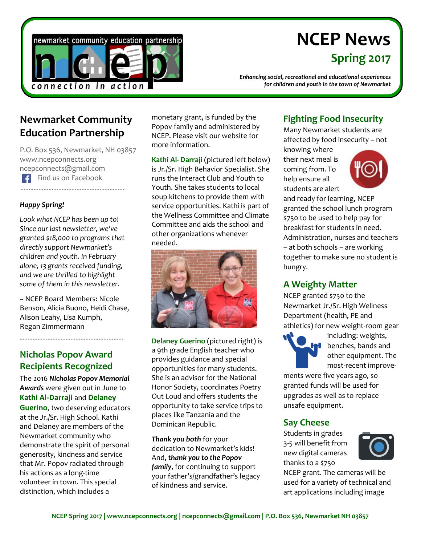

# **NCEP News Spring 2017**

*Enhancing social, recreational and educational experiences for children and youth in the town of Newmarket*

## **Newmarket Community Education Partnership**

P.O. Box 536, Newmarket, NH 03857 www.ncepconnects.org ncepconnects@gmail.com Find us on Facebook 

#### *Happy Spring!*

*Look what NCEP has been up to! Since our last newsletter, we've granted \$18,000 to programs that directly support Newmarket's children and youth. In February alone, 13 grants received funding, and we are thrilled to highlight some of them in this newsletter.* 

~ NCEP Board Members: Nicole Benson, Alicia Buono, Heidi Chase, Alison Leahy, Lisa Kumph, Regan Zimmermann

#### **Nicholas Popov Award Recipients Recognized**

The 2016 *Nicholas Popov Memorial Awards* were given out in June to **Kathi Al-Darraji** and **Delaney Guerino**, two deserving educators at the Jr./Sr. High School. Kathi and Delaney are members of the Newmarket community who demonstrate the spirit of personal generosity, kindness and service that Mr. Popov radiated through his actions as a long-time volunteer in town. This special distinction, which includes a

monetary grant, is funded by the Popov family and administered by NCEP. Please visit our website for more information.

**Kathi Al- Darraji** (pictured left below) is Jr./Sr. High Behavior Specialist. She runs the Interact Club and Youth to Youth. She takes students to local soup kitchens to provide them with service opportunities. Kathi is part of the Wellness Committee and Climate Committee and aids the school and other organizations whenever needed.



**Delaney Guerino** (pictured right) is a 9th grade English teacher who provides guidance and special opportunities for many students. She is an advisor for the National Honor Society, coordinates Poetry Out Loud and offers students the opportunity to take service trips to places like Tanzania and the Dominican Republic.

*Thank you both* for your dedication to Newmarket's kids! And, *thank you to the Popov family*, for continuing to support your father's/grandfather's legacy of kindness and service.

#### **Fighting Food Insecurity**

Many Newmarket students are affected by food insecurity – not

knowing where their next meal is coming from. To help ensure all students are alert



and ready for learning, NCEP granted the school lunch program \$750 to be used to help pay for breakfast for students in need. Administration, nurses and teachers – at both schools – are working together to make sure no student is hungry.

#### **A Weighty Matter**

NCEP granted \$750 to the Newmarket Jr./Sr. High Wellness Department (health, PE and athletics) for new weight-room gear



including: weights, **b** benches, bands and other equipment. The most-recent improve-

ments were five years ago, so granted funds will be used for upgrades as well as to replace unsafe equipment.

#### **Say Cheese**

Students in grades 3-5 will benefit from new digital cameras thanks to a \$750



NCEP grant. The cameras will be used for a variety of technical and art applications including image